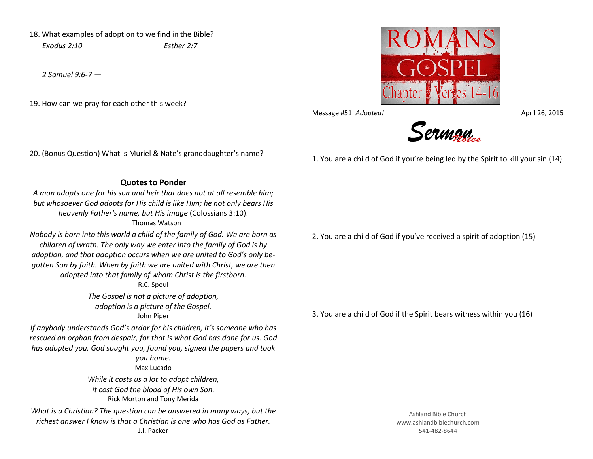18. What examples of adoption to we find in the Bible? *Exodus 2:10 — Esther 2:7 —*

*2 Samuel 9:6-7 —*

19. How can we pray for each other this week?



Message #51: *Adopted!* April 26, 2015



1. You are a child of God if you're being led by the Spirit to kill your sin (14)

## 20. (Bonus Question) What is Muriel & Nate's granddaughter's name?

**Quotes to Ponder**

*A man adopts one for his son and heir that does not at all resemble him; but whosoever God adopts for His child is like Him; he not only bears His heavenly Father's name, but His image* (Colossians 3:10). Thomas Watson

*Nobody is born into this world a child of the family of God. We are born as children of wrath. The only way we enter into the family of God is by adoption, and that adoption occurs when we are united to God's only begotten Son by faith. When by faith we are united with Christ, we are then adopted into that family of whom Christ is the firstborn.*

R.C. Spoul

*The Gospel is not a picture of adoption, adoption is a picture of the Gospel.*  John Piper

*If anybody understands God's ardor for his children, it's someone who has rescued an orphan from despair, for that is what God has done for us. God has adopted you. God sought you, found you, signed the papers and took* 

> *you home.*  Max Lucado

*While it costs us a lot to adopt children, it cost God the blood of His own Son.* Rick Morton and Tony Merida

*What is a Christian? The question can be answered in many ways, but the richest answer I know is that a Christian is one who has God as Father.* J.I. Packer

2. You are a child of God if you've received a spirit of adoption (15)

3. You are a child of God if the Spirit bears witness within you (16)

Ashland Bible Church www.ashlandbiblechurch.com 541-482-8644